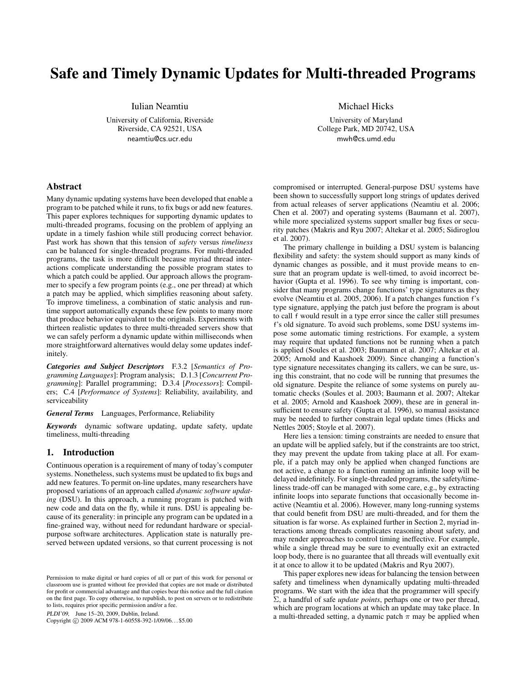# Safe and Timely Dynamic Updates for Multi-threaded Programs

Iulian Neamtiu

University of California, Riverside Riverside, CA 92521, USA neamtiu@cs.ucr.edu

Michael Hicks

University of Maryland College Park, MD 20742, USA mwh@cs.umd.edu

# Abstract

Many dynamic updating systems have been developed that enable a program to be patched while it runs, to fix bugs or add new features. This paper explores techniques for supporting dynamic updates to multi-threaded programs, focusing on the problem of applying an update in a timely fashion while still producing correct behavior. Past work has shown that this tension of *safety* versus *timeliness* can be balanced for single-threaded programs. For multi-threaded programs, the task is more difficult because myriad thread interactions complicate understanding the possible program states to which a patch could be applied. Our approach allows the programmer to specify a few program points (e.g., one per thread) at which a patch may be applied, which simplifies reasoning about safety. To improve timeliness, a combination of static analysis and runtime support automatically expands these few points to many more that produce behavior equivalent to the originals. Experiments with thirteen realistic updates to three multi-threaded servers show that we can safely perform a dynamic update within milliseconds when more straightforward alternatives would delay some updates indefinitely.

*Categories and Subject Descriptors* F.3.2 [*Semantics of Programming Languages*]: Program analysis; D.1.3 [*Concurrent Programming*]: Parallel programming; D.3.4 [*Processors*]: Compilers; C.4 [*Performance of Systems*]: Reliability, availability, and serviceability

#### *General Terms* Languages, Performance, Reliability

*Keywords* dynamic software updating, update safety, update timeliness, multi-threading

# 1. Introduction

Continuous operation is a requirement of many of today's computer systems. Nonetheless, such systems must be updated to fix bugs and add new features. To permit on-line updates, many researchers have proposed variations of an approach called *dynamic software updating* (DSU). In this approach, a running program is patched with new code and data on the fly, while it runs. DSU is appealing because of its generality: in principle any program can be updated in a fine-grained way, without need for redundant hardware or specialpurpose software architectures. Application state is naturally preserved between updated versions, so that current processing is not

PLDI'09, June 15–20, 2009, Dublin, Ireland.

Copyright © 2009 ACM 978-1-60558-392-1/09/06... \$5.00

compromised or interrupted. General-purpose DSU systems have been shown to successfully support long strings of updates derived from actual releases of server applications (Neamtiu et al. 2006; Chen et al. 2007) and operating systems (Baumann et al. 2007), while more specialized systems support smaller bug fixes or security patches (Makris and Ryu 2007; Altekar et al. 2005; Sidiroglou et al. 2007).

The primary challenge in building a DSU system is balancing flexibility and safety: the system should support as many kinds of dynamic changes as possible, and it must provide means to ensure that an program update is well-timed, to avoid incorrect behavior (Gupta et al. 1996). To see why timing is important, consider that many programs change functions' type signatures as they evolve (Neamtiu et al. 2005, 2006). If a patch changes function f's type signature, applying the patch just before the program is about to call f would result in a type error since the caller still presumes f's old signature. To avoid such problems, some DSU systems impose some automatic timing restrictions. For example, a system may require that updated functions not be running when a patch is applied (Soules et al. 2003; Baumann et al. 2007; Altekar et al. 2005; Arnold and Kaashoek 2009). Since changing a function's type signature necessitates changing its callers, we can be sure, using this constraint, that no code will be running that presumes the old signature. Despite the reliance of some systems on purely automatic checks (Soules et al. 2003; Baumann et al. 2007; Altekar et al. 2005; Arnold and Kaashoek 2009), these are in general insufficient to ensure safety (Gupta et al. 1996), so manual assistance may be needed to further constrain legal update times (Hicks and Nettles 2005; Stoyle et al. 2007).

Here lies a tension: timing constraints are needed to ensure that an update will be applied safely, but if the constraints are too strict, they may prevent the update from taking place at all. For example, if a patch may only be applied when changed functions are not active, a change to a function running an infinite loop will be delayed indefinitely. For single-threaded programs, the safety/timeliness trade-off can be managed with some care, e.g., by extracting infinite loops into separate functions that occasionally become inactive (Neamtiu et al. 2006). However, many long-running systems that could benefit from DSU are multi-threaded, and for them the situation is far worse. As explained further in Section 2, myriad interactions among threads complicates reasoning about safety, and may render approaches to control timing ineffective. For example, while a single thread may be sure to eventually exit an extracted loop body, there is no guarantee that all threads will eventually exit it at once to allow it to be updated (Makris and Ryu 2007).

This paper explores new ideas for balancing the tension between safety and timeliness when dynamically updating multi-threaded programs. We start with the idea that the programmer will specify Σ, a handful of safe *update points*, perhaps one or two per thread, which are program locations at which an update may take place. In a multi-threaded setting, a dynamic patch  $\pi$  may be applied when

Permission to make digital or hard copies of all or part of this work for personal or classroom use is granted without fee provided that copies are not made or distributed for profit or commercial advantage and that copies bear this notice and the full citation on the first page. To copy otherwise, to republish, to post on servers or to redistribute to lists, requires prior specific permission and/or a fee.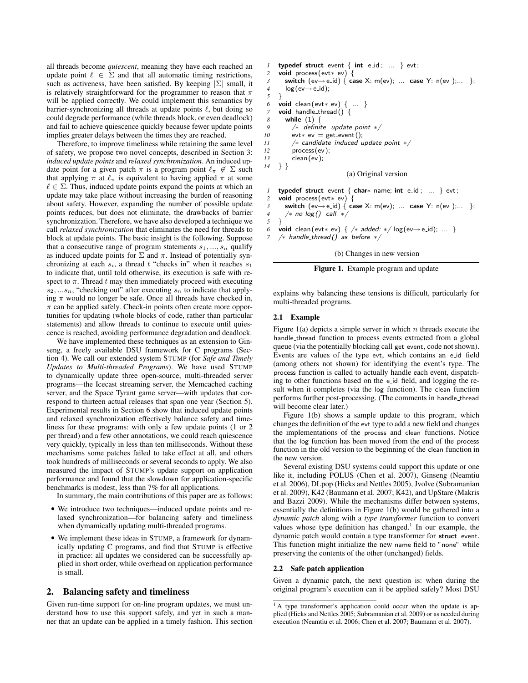all threads become *quiescent*, meaning they have each reached an update point  $\ell \in \Sigma$  and that all automatic timing restrictions, such as activeness, have been satisfied. By keeping  $|\Sigma|$  small, it is relatively straightforward for the programmer to reason that  $\pi$ will be applied correctly. We could implement this semantics by barrier-synchronizing all threads at update points  $\ell$ , but doing so could degrade performance (while threads block, or even deadlock) and fail to achieve quiescence quickly because fewer update points implies greater delays between the times they are reached.

Therefore, to improve timeliness while retaining the same level of safety, we propose two novel concepts, described in Section 3: *induced update points* and *relaxed synchronization*. An induced update point for a given patch  $\pi$  is a program point  $\ell_{\pi} \notin \Sigma$  such that applying  $\pi$  at  $\ell_{\pi}$  is equivalent to having applied  $\pi$  at some  $\ell \in \Sigma$ . Thus, induced update points expand the points at which an update may take place without increasing the burden of reasoning about safety. However, expanding the number of possible update points reduces, but does not eliminate, the drawbacks of barrier synchronization. Therefore, we have also developed a technique we call *relaxed synchronization* that eliminates the need for threads to block at update points. The basic insight is the following. Suppose that a consecutive range of program statements  $s_1, ..., s_n$  qualify as induced update points for  $\Sigma$  and  $\pi$ . Instead of potentially synchronizing at each  $s_i$ , a thread t "checks in" when it reaches  $s_1$ to indicate that, until told otherwise, its execution is safe with respect to  $\pi$ . Thread t may then immediately proceed with executing  $s_2, \ldots s_n$ , "checking out" after executing  $s_n$  to indicate that applying  $\pi$  would no longer be safe. Once all threads have checked in,  $\pi$  can be applied safely. Check-in points often create more opportunities for updating (whole blocks of code, rather than particular statements) and allow threads to continue to execute until quiescence is reached, avoiding performance degradation and deadlock.

We have implemented these techniques as an extension to Ginseng, a freely available DSU framework for C programs (Section 4). We call our extended system STUMP (for *Safe and Timely Updates to Multi-threaded Programs*). We have used STUMP to dynamically update three open-source, multi-threaded server programs—the Icecast streaming server, the Memcached caching server, and the Space Tyrant game server—with updates that correspond to thirteen actual releases that span one year (Section 5). Experimental results in Section 6 show that induced update points and relaxed synchronization effectively balance safety and timeliness for these programs: with only a few update points (1 or 2 per thread) and a few other annotations, we could reach quiescence very quickly, typically in less than ten milliseconds. Without these mechanisms some patches failed to take effect at all, and others took hundreds of milliseconds or several seconds to apply. We also measured the impact of STUMP's update support on application performance and found that the slowdown for application-specific benchmarks is modest, less than 7% for all applications.

In summary, the main contributions of this paper are as follows:

- We introduce two techniques—induced update points and relaxed synchronization—for balancing safety and timeliness when dymamically updating multi-threaded programs.
- We implement these ideas in STUMP, a framework for dynamically updating C programs, and find that STUMP is effective in practice: all updates we considered can be successfully applied in short order, while overhead on application performance is small.

# 2. Balancing safety and timeliness

Given run-time support for on-line program updates, we must understand how to use this support safely, and yet in such a manner that an update can be applied in a timely fashion. This section

```
1 typedef struct event { int e_id; \dots } evt;
2 void process (evt* ev) {<br>3 switch (ev→e_id) { ca
       switch (ev→ e_id) { case X: m(ev); ... case Y: n(ev );... };
4 \log(\text{ev} \rightarrow \text{e}_\text{d});
5 }
6 void clean(evt∗ ev) { ... }
 7 void handle_thread () {
8 while (1) {<br>9 /* definit
          9 /∗ definite update point ∗/
10 evt* ev = get_event();
11 /∗ candidate induced update point ∗/<br>12 process(ev);
          process (ev);
13 clean(ev );
14 } }
                             (a) Original version
     typedef struct event { char* name; int e_id; \dots } evt;
```

```
2 void process (evt∗ ev) {
3 switch (ev \rightarrow e_id) { case X: m(ev); ... case Y: n(ev ); ... };
4 /∗ no log() call */
5 }
6 void clean(evt* ev) { /* added: */ log(ev→e_id); ... }
   7 /∗ handle thread () as before ∗/
```
#### (b) Changes in new version



explains why balancing these tensions is difficult, particularly for multi-threaded programs.

## 2.1 Example

Figure 1(a) depicts a simple server in which  $n$  threads execute the handle\_thread function to process events extracted from a global queue (via the potentially blocking call get\_event, code not shown). Events are values of the type evt, which contains an e id field (among others not shown) for identifying the event's type. The process function is called to actually handle each event, dispatching to other functions based on the e id field, and logging the result when it completes (via the log function). The clean function performs further post-processing. (The comments in handle thread will become clear later.)

Figure 1(b) shows a sample update to this program, which changes the definition of the evt type to add a new field and changes the implementations of the process and clean functions. Notice that the log function has been moved from the end of the process function in the old version to the beginning of the clean function in the new version.

Several existing DSU systems could support this update or one like it, including POLUS (Chen et al. 2007), Ginseng (Neamtiu et al. 2006), DLpop (Hicks and Nettles 2005), Jvolve (Subramanian et al. 2009), K42 (Baumann et al. 2007; K42), and UpStare (Makris and Bazzi 2009). While the mechanisms differ between systems, essentially the definitions in Figure 1(b) would be gathered into a *dynamic patch* along with a *type transformer* function to convert values whose type definition has changed.<sup>1</sup> In our example, the dynamic patch would contain a type transformer for struct event. This function might initialize the new name field to "none" while preserving the contents of the other (unchanged) fields.

#### 2.2 Safe patch application

Given a dynamic patch, the next question is: when during the original program's execution can it be applied safely? Most DSU

<sup>&</sup>lt;sup>1</sup>A type transformer's application could occur when the update is applied (Hicks and Nettles 2005; Subramanian et al. 2009) or as needed during execution (Neamtiu et al. 2006; Chen et al. 2007; Baumann et al. 2007).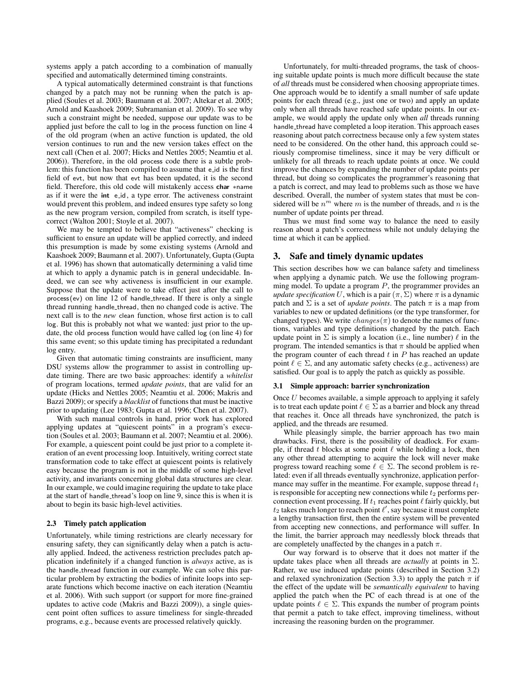systems apply a patch according to a combination of manually specified and automatically determined timing constraints.

A typical automatically determined constraint is that functions changed by a patch may not be running when the patch is applied (Soules et al. 2003; Baumann et al. 2007; Altekar et al. 2005; Arnold and Kaashoek 2009; Subramanian et al. 2009). To see why such a constraint might be needed, suppose our update was to be applied just before the call to log in the process function on line 4 of the old program (when an active function is updated, the old version continues to run and the new version takes effect on the next call (Chen et al. 2007; Hicks and Nettles 2005; Neamtiu et al. 2006)). Therefore, in the old process code there is a subtle problem: this function has been compiled to assume that e id is the first field of evt, but now that evt has been updated, it is the second field. Therefore, this old code will mistakenly access char ∗name as if it were the int e id, a type error. The activeness constraint would prevent this problem, and indeed ensures type safety so long as the new program version, compiled from scratch, is itself typecorrect (Walton 2001; Stoyle et al. 2007).

We may be tempted to believe that "activeness" checking is sufficient to ensure an update will be applied correctly, and indeed this presumption is made by some existing systems (Arnold and Kaashoek 2009; Baumann et al. 2007). Unfortunately, Gupta (Gupta et al. 1996) has shown that automatically determining a valid time at which to apply a dynamic patch is in general undecidable. Indeed, we can see why activeness is insufficient in our example. Suppose that the update were to take effect just after the call to process (ev) on line 12 of handle thread. If there is only a single thread running handle thread, then no changed code is active. The next call is to the *new* clean function, whose first action is to call log. But this is probably not what we wanted: just prior to the update, the old process function would have called log (on line 4) for this same event; so this update timing has precipitated a redundant log entry.

Given that automatic timing constraints are insufficient, many DSU systems allow the programmer to assist in controlling update timing. There are two basic approaches: identify a *whitelist* of program locations, termed *update points*, that are valid for an update (Hicks and Nettles 2005; Neamtiu et al. 2006; Makris and Bazzi 2009); or specify a *blacklist* of functions that must be inactive prior to updating (Lee 1983; Gupta et al. 1996; Chen et al. 2007).

With such manual controls in hand, prior work has explored applying updates at "quiescent points" in a program's execution (Soules et al. 2003; Baumann et al. 2007; Neamtiu et al. 2006). For example, a quiescent point could be just prior to a complete iteration of an event processing loop. Intuitively, writing correct state transformation code to take effect at quiescent points is relatively easy because the program is not in the middle of some high-level activity, and invariants concerning global data structures are clear. In our example, we could imagine requiring the update to take place at the start of handle thread's loop on line 9, since this is when it is about to begin its basic high-level activities.

#### 2.3 Timely patch application

Unfortunately, while timing restrictions are clearly necessary for ensuring safety, they can significantly delay when a patch is actually applied. Indeed, the activeness restriction precludes patch application indefinitely if a changed function is *always* active, as is the handle thread function in our example. We can solve this particular problem by extracting the bodies of infinite loops into separate functions which become inactive on each iteration (Neamtiu et al. 2006). With such support (or support for more fine-grained updates to active code (Makris and Bazzi 2009)), a single quiescent point often suffices to assure timeliness for single-threaded programs, e.g., because events are processed relatively quickly.

Unfortunately, for multi-threaded programs, the task of choosing suitable update points is much more difficult because the state of *all* threads must be considered when choosing appropriate times. One approach would be to identify a small number of safe update points for each thread (e.g., just one or two) and apply an update only when all threads have reached safe update points. In our example, we would apply the update only when *all* threads running handle thread have completed a loop iteration. This approach eases reasoning about patch correctness because only a few system states need to be considered. On the other hand, this approach could seriously compromise timeliness, since it may be very difficult or unlikely for all threads to reach update points at once. We could improve the chances by expanding the number of update points per thread, but doing so complicates the programmer's reasoning that a patch is correct, and may lead to problems such as those we have described. Overall, the number of system states that must be considered will be  $n^m$  where m is the number of threads, and n is the number of update points per thread.

Thus we must find some way to balance the need to easily reason about a patch's correctness while not unduly delaying the time at which it can be applied.

## 3. Safe and timely dynamic updates

This section describes how we can balance safety and timeliness when applying a dynamic patch. We use the following programming model. To update a program  $P$ , the programmer provides an *update specification* U, which is a pair  $(\pi, \Sigma)$  where  $\pi$  is a dynamic patch and  $\Sigma$  is a set of *update points*. The patch  $\pi$  is a map from variables to new or updated definitions (or the type transformer, for changed types). We write  $changes(\pi)$  to denote the names of functions, variables and type definitions changed by the patch. Each update point in  $\Sigma$  is simply a location (i.e., line number)  $\ell$  in the program. The intended semantics is that  $\pi$  should be applied when the program counter of each thread  $t$  in  $P$  has reached an update point  $\ell \in \Sigma$ , and any automatic safety checks (e.g., activeness) are satisfied. Our goal is to apply the patch as quickly as possible.

#### 3.1 Simple approach: barrier synchronization

Once  $U$  becomes available, a simple approach to applying it safely is to treat each update point  $\ell \in \Sigma$  as a barrier and block any thread that reaches it. Once all threads have synchronized, the patch is applied, and the threads are resumed.

While pleasingly simple, the barrier approach has two main drawbacks. First, there is the possibility of deadlock. For example, if thread  $t$  blocks at some point  $\ell$  while holding a lock, then any other thread attempting to acquire the lock will never make progress toward reaching some  $\ell \in \Sigma$ . The second problem is related: even if all threads eventually synchronize, application performance may suffer in the meantime. For example, suppose thread  $t_1$ is responsible for accepting new connections while  $t_2$  performs perconnection event processing. If  $t_1$  reaches point  $\ell$  fairly quickly, but  $t_2$  takes much longer to reach point  $\ell'$ , say because it must complete a lengthy transaction first, then the entire system will be prevented from accepting new connections, and performance will suffer. In the limit, the barrier approach may needlessly block threads that are completely unaffected by the changes in a patch  $\pi$ .

Our way forward is to observe that it does not matter if the update takes place when all threads are *actually* at points in Σ. Rather, we use induced update points (described in Section 3.2) and relaxed synchronization (Section 3.3) to apply the patch  $\pi$  if the effect of the update will be *semantically equivalent* to having applied the patch when the PC of each thread is at one of the update points  $\ell \in \Sigma$ . This expands the number of program points that permit a patch to take effect, improving timeliness, without increasing the reasoning burden on the programmer.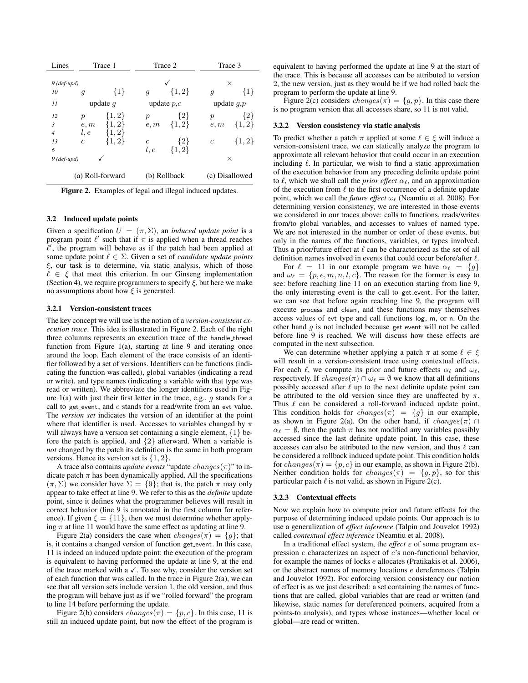| Lines                |                          | Trace 1                   |                         | Trace 2            | Trace 3                  |                    |  |  |
|----------------------|--------------------------|---------------------------|-------------------------|--------------------|--------------------------|--------------------|--|--|
| $9$ (def-upd)<br>10  | 9                        | ${1}$                     | $\overline{g}$          | ${1,2}$            | $\mathfrak{g}$           | $\times$<br>${1}$  |  |  |
| 11                   |                          | update $g$                |                         | update $p,c$       |                          | update $q,p$       |  |  |
| 12<br>3              | $\boldsymbol{p}$<br>e, m | $\{1,2\}$<br>$\{1,2\}$    | $\boldsymbol{p}$<br>e,m | ${2}$<br>$\{1,2\}$ | $\boldsymbol{p}$<br>e, m | ${2}$<br>$\{1,2\}$ |  |  |
| $\overline{4}$<br>13 | $\overline{c}$           | $l, e \{1,2\}$<br>${1,2}$ | $\mathfrak c$           | ${2}$              | $\mathfrak c$            | $\{1,2\}$          |  |  |
| 6<br>$9$ (def-upd)   |                          | ✓                         | l, e                    | $\{1,2\}$          |                          | X                  |  |  |
| (a) Roll-forward     |                          |                           |                         | (b) Rollback       | (c) Disallowed           |                    |  |  |

Figure 2. Examples of legal and illegal induced updates.

## 3.2 Induced update points

Given a specification  $U = (\pi, \Sigma)$ , an *induced update point* is a program point  $\ell'$  such that if  $\pi$  is applied when a thread reaches  $\ell'$ , the program will behave as if the patch had been applied at some update point  $\ell \in \Sigma$ . Given a set of *candidate update points* ξ, our task is to determine, via static analysis, which of those  $\ell \in \xi$  that meet this criterion. In our Ginseng implementation (Section 4), we require programmers to specify  $\xi$ , but here we make no assumptions about how  $\xi$  is generated.

#### 3.2.1 Version-consistent traces

The key concept we will use is the notion of a *version-consistent execution trace*. This idea is illustrated in Figure 2. Each of the right three columns represents an execution trace of the handle\_thread function from Figure 1(a), starting at line 9 and iterating once around the loop. Each element of the trace consists of an identifier followed by a set of versions. Identifiers can be functions (indicating the function was called), global variables (indicating a read or write), and type names (indicating a variable with that type was read or written). We abbreviate the longer identifiers used in Figure  $1(a)$  with just their first letter in the trace, e.g.,  $q$  stands for a call to get\_event, and  $e$  stands for a read/write from an evt value. The *version set* indicates the version of an identifier at the point where that identifier is used. Accesses to variables changed by  $\pi$ will always have a version set containing a single element,  $\{1\}$  before the patch is applied, and  $\{2\}$  afterward. When a variable is *not* changed by the patch its definition is the same in both program versions. Hence its version set is  $\{1, 2\}$ .

A trace also contains *update events* "update  $changes(\pi)$ " to indicate patch  $\pi$  has been dynamically applied. All the specifications  $(\pi, \Sigma)$  we consider have  $\Sigma = \{9\}$ ; that is, the patch  $\pi$  may only appear to take effect at line 9. We refer to this as the *definite* update point, since it defines what the programmer believes will result in correct behavior (line 9 is annotated in the first column for reference). If given  $\xi = \{11\}$ , then we must determine whether applying  $\pi$  at line 11 would have the same effect as updating at line 9.

Figure 2(a) considers the case when  $changes(\pi) = \{g\}$ ; that is, it contains a changed version of function get event. In this case, 11 is indeed an induced update point: the execution of the program is equivalent to having performed the update at line 9, at the end of the trace marked with a  $\checkmark$ . To see why, consider the version set of each function that was called. In the trace in Figure 2(a), we can see that all version sets include version 1, the old version, and thus the program will behave just as if we "rolled forward" the program to line 14 before performing the update.

Figure 2(b) considers  $changes(\pi) = \{p, c\}$ . In this case, 11 is still an induced update point, but now the effect of the program is equivalent to having performed the update at line 9 at the start of the trace. This is because all accesses can be attributed to version 2, the new version, just as they would be if we had rolled back the program to perform the update at line 9.

Figure 2(c) considers  $changes(\pi) = \{g, p\}$ . In this case there is no program version that all accesses share, so 11 is not valid.

#### 3.2.2 Version consistency via static analysis

To predict whether a patch  $\pi$  applied at some  $\ell \in \xi$  will induce a version-consistent trace, we can statically analyze the program to approximate all relevant behavior that could occur in an execution including  $\ell$ . In particular, we wish to find a static approximation of the execution behavior from any preceding definite update point to  $\ell$ , which we shall call the *prior effect*  $\alpha_{\ell}$ , and an approximation of the execution from  $\ell$  to the first occurrence of a definite update point, which we call the *future effect*  $\omega_{\ell}$  (Neamtiu et al. 2008). For determining version consistency, we are interested in those events we considered in our traces above: calls to functions, reads/writes from/to global variables, and accesses to values of named type. We are not interested in the number or order of these events, but only in the names of the functions, variables, or types involved. Thus a prior/future effect at  $\ell$  can be characterized as the set of all definition names involved in events that could occur before/after  $\ell$ .

For  $\ell = 11$  in our example program we have  $\alpha_{\ell} = \{g\}$ and  $\omega_{\ell} = \{p, e, m, n, l, c\}$ . The reason for the former is easy to see: before reaching line 11 on an execution starting from line 9, the only interesting event is the call to get event. For the latter, we can see that before again reaching line 9, the program will execute process and clean, and these functions may themselves access values of evt type and call functions log, m, or n. On the other hand  $g$  is not included because get event will not be called before line 9 is reached. We will discuss how these effects are computed in the next subsection.

We can determine whether applying a patch  $\pi$  at some  $\ell \in \xi$ will result in a version-consistent trace using contextual effects. For each  $\ell$ , we compute its prior and future effects  $\alpha_{\ell}$  and  $\omega_{\ell}$ , respectively. If  $changes(\pi) \cap \omega_{\ell} = \emptyset$  we know that all definitions possibly accessed after  $\ell$  up to the next definite update point can be attributed to the old version since they are unaffected by  $\pi$ . Thus  $\ell$  can be considered a roll-forward induced update point. This condition holds for  $changes(\pi) = \{g\}$  in our example, as shown in Figure 2(a). On the other hand, if  $changes(\pi) \cap$  $\alpha_{\ell} = \emptyset$ , then the patch  $\pi$  has not modified any variables possibly accessed since the last definite update point. In this case, these accesses can also be attributed to the new version, and thus  $\ell$  can be considered a rollback induced update point. This condition holds for  $changes(\pi) = \{p, c\}$  in our example, as shown in Figure 2(b). Neither condition holds for  $changes(\pi) = \{g, p\}$ , so for this particular patch  $\ell$  is not valid, as shown in Figure 2(c).

#### 3.2.3 Contextual effects

Now we explain how to compute prior and future effects for the purpose of determining induced update points. Our approach is to use a generalization of *effect inference* (Talpin and Jouvelot 1992) called *contextual effect inference* (Neamtiu et al. 2008).

In a traditional effect system, the *effect*  $\varepsilon$  of some program expression e characterizes an aspect of e's non-functional behavior, for example the names of locks e allocates (Pratikakis et al. 2006), or the abstract names of memory locations e dereferences (Talpin and Jouvelot 1992). For enforcing version consistency our notion of effect is as we just described: a set containing the names of functions that are called, global variables that are read or written (and likewise, static names for dereferenced pointers, acquired from a points-to analysis), and types whose instances—whether local or global—are read or written.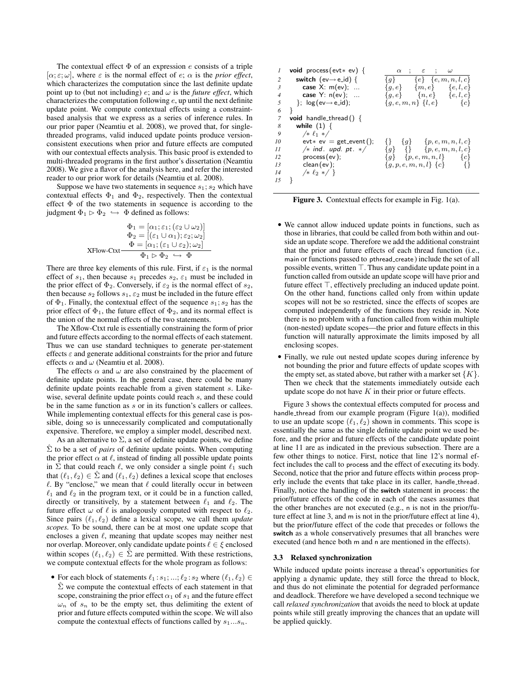The contextual effect  $\Phi$  of an expression e consists of a triple  $[\alpha; \varepsilon; \omega]$ , where  $\varepsilon$  is the normal effect of  $e$ ;  $\alpha$  is the *prior effect*, which characterizes the computation since the last definite update point up to (but not including)  $e$ ; and  $\omega$  is the *future effect*, which characterizes the computation following e, up until the next definite update point. We compute contextual effects using a constraintbased analysis that we express as a series of inference rules. In our prior paper (Neamtiu et al. 2008), we proved that, for singlethreaded programs, valid induced update points produce versionconsistent executions when prior and future effects are computed with our contextual effects analysis. This basic proof is extended to multi-threaded programs in the first author's dissertation (Neamtiu 2008). We give a flavor of the analysis here, and refer the interested reader to our prior work for details (Neamtiu et al. 2008).

Suppose we have two statements in sequence  $s_1$ ;  $s_2$  which have contextual effects  $\Phi_1$  and  $\Phi_2$ , respectively. Then the contextual effect  $\Phi$  of the two statements in sequence is according to the judgment  $\Phi_1 \triangleright \Phi_2 \leftrightarrow \Phi$  defined as follows:

$$
\Phi_1 = [\alpha_1; \varepsilon_1; (\varepsilon_2 \cup \omega_2)]
$$
  
\n
$$
\Phi_2 = [(\varepsilon_1 \cup \alpha_1); \varepsilon_2; \omega_2]
$$
  
\n
$$
\Phi = [\alpha_1; (\varepsilon_1 \cup \varepsilon_2); \omega_2]
$$
  
\nXFlow-Ctxt  
\n
$$
\Phi_1 \triangleright \Phi_2 \hookrightarrow \Phi
$$

There are three key elements of this rule. First, if  $\varepsilon_1$  is the normal effect of  $s_1$ , then because  $s_1$  precedes  $s_2$ ,  $\varepsilon_1$  must be included in the prior effect of  $\Phi_2$ . Conversely, if  $\varepsilon_2$  is the normal effect of  $s_2$ , then because  $s_2$  follows  $s_1, \varepsilon_2$  must be included in the future effect of  $\Phi_1$ . Finally, the contextual effect of the sequence  $s_1$ ;  $s_2$  has the prior effect of  $\Phi_1$ , the future effect of  $\Phi_2$ , and its normal effect is the union of the normal effects of the two statements.

The Xflow-Ctxt rule is essentially constraining the form of prior and future effects according to the normal effects of each statement. Thus we can use standard techniques to generate per-statement effects  $\varepsilon$  and generate additional constraints for the prior and future effects  $\alpha$  and  $\omega$  (Neamtiu et al. 2008).

The effects  $\alpha$  and  $\omega$  are also constrained by the placement of definite update points. In the general case, there could be many definite update points reachable from a given statement s. Likewise, several definite update points could reach s, and these could be in the same function as s or in its function's callers or callees. While implementing contextual effects for this general case is possible, doing so is unnecessarily complicated and computationally expensive. Therefore, we employ a simpler model, described next.

As an alternative to  $\Sigma$ , a set of definite update points, we define  $\hat{\Sigma}$  to be a set of *pairs* of definite update points. When computing the prior effect  $\alpha$  at  $\ell$ , instead of finding all possible update points in  $\Sigma$  that could reach  $\ell$ , we only consider a single point  $\ell_1$  such that  $(\ell_1, \ell_2) \in \Sigma$  and  $(\ell_1, \ell_2)$  defines a lexical scope that encloses  $\ell$ . By "enclose," we mean that  $\ell$  could literally occur in between  $\ell_1$  and  $\ell_2$  in the program text, or it could be in a function called, directly or transitively, by a statement between  $\ell_1$  and  $\ell_2$ . The future effect  $\omega$  of  $\ell$  is analogously computed with respect to  $\ell_2$ . Since pairs  $(\ell_1, \ell_2)$  define a lexical scope, we call them *update scopes.* To be sound, there can be at most one update scope that encloses a given  $\ell$ , meaning that update scopes may neither nest nor overlap. Moreover, only candidate update points  $\ell \in \xi$  enclosed within scopes  $(\ell_1, \ell_2) \in \hat{\Sigma}$  are permitted. With these restrictions, we compute contextual effects for the whole program as follows:

• For each block of statements  $\ell_1 : s_1; \ldots; \ell_2 : s_2$  where  $(\ell_1, \ell_2) \in$  $\hat{\Sigma}$  we compute the contextual effects of each statement in that scope, constraining the prior effect  $\alpha_1$  of  $s_1$  and the future effect  $\omega_n$  of  $s_n$  to be the empty set, thus delimiting the extent of prior and future effects computed within the scope. We will also compute the contextual effects of functions called by  $s_1...s_n$ .

| 1              | <b>void</b> process (evt $*$ ev) {               | $\alpha$<br>$\cdot$ $\cdot$ $\varepsilon$ $\cdot$ $\cdot$<br>$\omega$ |
|----------------|--------------------------------------------------|-----------------------------------------------------------------------|
| 2              | switch (ev $\rightarrow$ e_id) {                 | $\{e\}$ $\{e, m, n, l, c\}$<br>$\{q\}$                                |
| $\mathfrak{Z}$ | case $X: m(ev); $                                | $\{g,e\}$ $\{m,e\}$<br>$\{e, l, c\}$                                  |
| $\overline{4}$ | case $Y: n(ev); $                                | $\{q,e\}$ $\{n,e\}$ $\{e,l,c\}$                                       |
| 5              | $\}$ ; $log(ev \rightarrow e_id)$ ;              | $\{q, e, m, n\}$ $\{l, e\}$<br>${c}$                                  |
| 6              |                                                  |                                                                       |
| 7              | <b>void</b> handle_thread() {                    |                                                                       |
| 8              | while $(1)$ {                                    |                                                                       |
| 9              | $/* l_1 * /$                                     |                                                                       |
| 10             | $\text{evt} * \text{ev} = \text{get\_event}()$ ; | $\{g\}$ $\{p,e,m,n,l,c\}$<br>₹ F                                      |
| 11             | /* ind. upd. pt. $*/$                            | $\{q\}$ $\{\}\$ $\{p,e,m,n,l,c\}$                                     |
| 12             | process(ev);                                     | $\{g\}$ $\{p,e,m,n,l\}$<br>${c}$                                      |
| 13             | clean(ev);                                       | $\{g, p, e, m, n, l\} \{c\}$<br>$\{\}$                                |
| 14             | $/* \ell_2 */$                                   |                                                                       |
| 15             |                                                  |                                                                       |

Figure 3. Contextual effects for example in Fig. 1(a).

- We cannot allow induced update points in functions, such as those in libraries, that could be called from both within and outside an update scope. Therefore we add the additional constraint that the prior and future effects of each thread function (i.e., main or functions passed to pthread create ) include the set of all possible events, written  $\top$ . Thus any candidate update point in a function called from outside an update scope will have prior and future effect  $\top$ , effectively precluding an induced update point. On the other hand, functions called only from within update scopes will not be so restricted, since the effects of scopes are computed independently of the functions they reside in. Note there is no problem with a function called from within multiple (non-nested) update scopes—the prior and future effects in this function will naturally approximate the limits imposed by all enclosing scopes.
- Finally, we rule out nested update scopes during inference by not bounding the prior and future effects of update scopes with the empty set, as stated above, but rather with a marker set  $\{K\}$ . Then we check that the statements immediately outside each update scope do not have  $K$  in their prior or future effects.

Figure 3 shows the contextual effects computed for process and handle\_thread from our example program (Figure 1(a)), modified to use an update scope  $(\ell_1, \ell_2)$  shown in comments. This scope is essentially the same as the single definite update point we used before, and the prior and future effects of the candidate update point at line 11 are as indicated in the previous subsection. There are a few other things to notice. First, notice that line 12's normal effect includes the call to process and the effect of executing its body. Second, notice that the prior and future effects within process properly include the events that take place in its caller, handle thread. Finally, notice the handling of the switch statement in process: the prior/future effects of the code in each of the cases assumes that the other branches are not executed (e.g., n is not in the prior/future effect at line 3, and m is not in the prior/future effect at line 4), but the prior/future effect of the code that precedes or follows the switch as a whole conservatively presumes that all branches were executed (and hence both m and n are mentioned in the effects).

#### 3.3 Relaxed synchronization

While induced update points increase a thread's opportunities for applying a dynamic update, they still force the thread to block, and thus do not eliminate the potential for degraded performance and deadlock. Therefore we have developed a second technique we call *relaxed synchronization* that avoids the need to block at update points while still greatly improving the chances that an update will be applied quickly.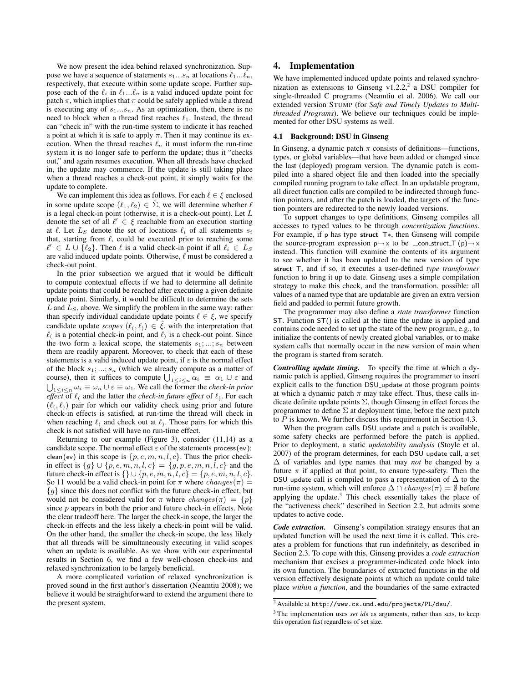We now present the idea behind relaxed synchronization. Suppose we have a sequence of statements  $s_1...s_n$  at locations  $\ell_1...\ell_n$ , respectively, that execute within some update scope. Further suppose each of the  $\ell_i$  in  $\ell_1...\ell_n$  is a valid induced update point for patch  $\pi$ , which implies that  $\pi$  could be safely applied while a thread is executing any of  $s_1...s_n$ . As an optimization, then, there is no need to block when a thread first reaches  $\ell_1$ . Instead, the thread can "check in" with the run-time system to indicate it has reached a point at which it is safe to apply  $\pi$ . Then it may continue its execution. When the thread reaches  $\ell_n$  it must inform the run-time system it is no longer safe to perform the update; thus it "checks out," and again resumes execution. When all threads have checked in, the update may commence. If the update is still taking place when a thread reaches a check-out point, it simply waits for the update to complete.

We can implement this idea as follows. For each  $\ell \in \xi$  enclosed in some update scope  $(\ell_1, \ell_2) \in \hat{\Sigma}$ , we will determine whether  $\ell$ is a legal check-in point (otherwise, it is a check-out point). Let  $L$ denote the set of all  $\ell' \in \xi$  reachable from an execution starting at  $\ell$ . Let  $L_S$  denote the set of locations  $\ell_i$  of all statements  $s_i$ that, starting from  $\ell$ , could be executed prior to reaching some  $\ell' \in L \cup \{\ell_2\}$ . Then  $\ell$  is a valid check-in point if all  $\ell_i \in L_S$ are valid induced update points. Otherwise,  $\ell$  must be considered a check-out point.

In the prior subsection we argued that it would be difficult to compute contextual effects if we had to determine all definite update points that could be reached after executing a given definite update point. Similarly, it would be difficult to determine the sets  $\overline{L}$  and  $\overline{L}_S$ , above. We simplify the problem in the same way: rather than specify individual candidate update points  $\ell \in \xi$ , we specify candidate update *scopes*  $(\ell_{(}, \ell_{)}) \in \hat{\xi}$ , with the interpretation that  $\ell_i$  is a potential check-in point, and  $\ell_i$  is a check-out point. Since the two form a lexical scope, the statements  $s_1; \ldots; s_n$  between them are readily apparent. Moreover, to check that each of these statements is a valid induced update point, if  $\varepsilon$  is the normal effect of the block  $s_1; \ldots; s_n$  (which we already compute as a matter of course), then it suffices to compute  $\bigcup_{1 \leq i \leq n} \alpha_i \equiv \alpha_1 \cup \varepsilon$  and  $\bigcup_{1 \leq i \leq n} \omega_i \equiv \omega_n \cup \varepsilon \equiv \omega_1$ . We call the former the *check-in prior effect* of  $\ell$ <sub>(</sub> and the latter the *check-in future effect* of  $\ell$ <sub>(</sub>. For each  $(\ell_{\ell}, \ell_{\ell})$  pair for which our validity check using prior and future check-in effects is satisfied, at run-time the thread will check in when reaching  $\ell_1$  and check out at  $\ell_1$ . Those pairs for which this check is not satisfied will have no run-time effect.

Returning to our example (Figure 3), consider (11,14) as a candidate scope. The normal effect  $\varepsilon$  of the statements process (ev); clean(ev) in this scope is  $\{p, e, m, n, l, c\}$ . Thus the prior checkin effect is  ${g} ∪ {p, e, m, n, l, c} = {g, p, e, m, n, l, c}$  and the future check-in effect is {} ∪ { $p, e, m, n, l, c$ } = { $p, e, m, n, l, c$ }. So 11 would be a valid check-in point for  $\pi$  where  $changes(\pi) =$  ${g}$  since this does not conflict with the future check-in effect, but would not be considered valid for  $\pi$  where  $changes(\pi) = \{p\}$ since  $p$  appears in both the prior and future check-in effects. Note the clear tradeoff here. The larger the check-in scope, the larger the check-in effects and the less likely a check-in point will be valid. On the other hand, the smaller the check-in scope, the less likely that all threads will be simultaneously executing in valid scopes when an update is available. As we show with our experimental results in Section 6, we find a few well-chosen check-ins and relaxed synchronization to be largely beneficial.

A more complicated variation of relaxed synchronization is proved sound in the first author's dissertation (Neamtiu 2008); we believe it would be straightforward to extend the argument there to the present system.

# 4. Implementation

We have implemented induced update points and relaxed synchronization as extensions to Ginseng v1.2.2,<sup>2</sup> a DSU compiler for single-threaded C programs (Neamtiu et al. 2006). We call our extended version STUMP (for *Safe and Timely Updates to Multithreaded Programs*). We believe our techniques could be implemented for other DSU systems as well.

# 4.1 Background: DSU in Ginseng

In Ginseng, a dynamic patch  $\pi$  consists of definitions—functions, types, or global variables—that have been added or changed since the last (deployed) program version. The dynamic patch is compiled into a shared object file and then loaded into the specially compiled running program to take effect. In an updatable program, all direct function calls are compiled to be indirected through function pointers, and after the patch is loaded, the targets of the function pointers are redirected to the newly loaded versions.

To support changes to type definitions, Ginseng compiles all accesses to typed values to be through *concretization functions*. For example, if p has type struct T∗, then Ginseng will compile the source-program expression  $p \rightarrow x$  to be \_con\_struct\_T (p) $\rightarrow x$ instead. This function will examine the contents of its argument to see whether it has been updated to the new version of type struct T, and if so, it executes a user-defined *type transformer* function to bring it up to date. Ginseng uses a simple compilation strategy to make this check, and the transformation, possible: all values of a named type that are updatable are given an extra version field and padded to permit future growth.

The programmer may also define a *state transformer* function ST. Function ST() is called at the time the update is applied and contains code needed to set up the state of the new program, e.g., to initialize the contents of newly created global variables, or to make system calls that normally occur in the new version of main when the program is started from scratch.

*Controlling update timing.* To specify the time at which a dynamic patch is applied, Ginseng requires the programmer to insert explicit calls to the function DSU update at those program points at which a dynamic patch  $\pi$  may take effect. Thus, these calls indicate definite update points  $\Sigma$ , though Ginseng in effect forces the programmer to define  $\Sigma$  at deployment time, before the next patch to P is known. We further discuss this requirement in Section 4.3.

When the program calls DSU<sub>-update</sub> and a patch is available, some safety checks are performed before the patch is applied. Prior to deployment, a static *updatability analysis* (Stoyle et al. 2007) of the program determines, for each DSU update call, a set ∆ of variables and type names that may *not* be changed by a future  $\pi$  if applied at that point, to ensure type-safety. Then the DSU update call is compiled to pass a representation of  $\Delta$  to the run-time system, which will enforce  $\Delta \cap changes(\pi) = \emptyset$  before applying the update.<sup>3</sup> This check essentially takes the place of the "activeness check" described in Section 2.2, but admits some updates to active code.

*Code extraction.* Ginseng's compilation strategy ensures that an updated function will be used the next time it is called. This creates a problem for functions that run indefinitely, as described in Section 2.3. To cope with this, Ginseng provides a *code extraction* mechanism that excises a programmer-indicated code block into its own function. The boundaries of extracted functions in the old version effectively designate points at which an update could take place *within a function*, and the boundaries of the same extracted

<sup>2</sup> Available at http://www.cs.umd.edu/projects/PL/dsu/.

<sup>&</sup>lt;sup>3</sup>The implementation uses *set ids* as arguments, rather than sets, to keep this operation fast regardless of set size.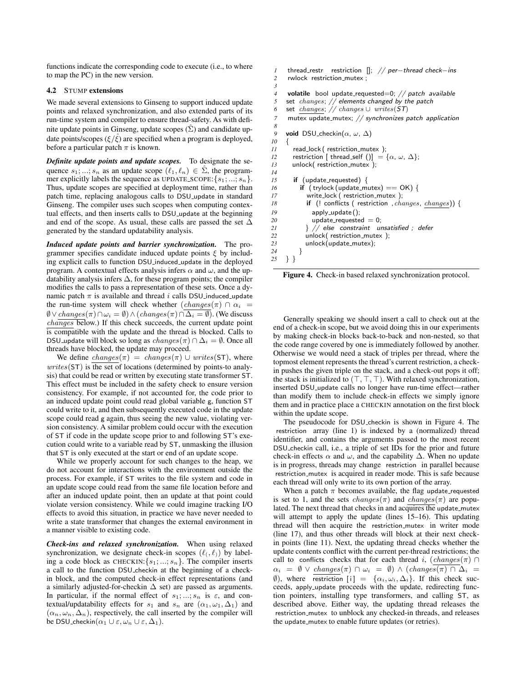functions indicate the corresponding code to execute (i.e., to where to map the PC) in the new version.

## 4.2 STUMP extensions

We made several extensions to Ginseng to support induced update points and relaxed synchronization, and also extended parts of its run-time system and compiler to ensure thread-safety. As with definite update points in Ginseng, update scopes  $(\Sigma)$  and candidate update points/scopes ( $\xi/\xi$ ) are specified when a program is deployed, before a particular patch  $\pi$  is known.

*Definite update points and update scopes.* To designate the sequence  $s_1; \ldots; s_n$  as an update scope  $(\ell_1, \ell_n) \in \hat{\Sigma}$ , the programmer explicitly labels the sequence as UPDATE\_SCOPE: $\{s_1; ...; s_n\}$ . Thus, update scopes are specified at deployment time, rather than patch time, replacing analogous calls to DSU update in standard Ginseng. The compiler uses such scopes when computing contextual effects, and then inserts calls to DSU update at the beginning and end of the scope. As usual, these calls are passed the set  $\Delta$ generated by the standard updatability analysis.

*Induced update points and barrier synchronization.* The programmer specifies candidate induced update points  $\xi$  by including explicit calls to function DSU induced update in the deployed program. A contextual effects analysis infers  $\alpha$  and  $\omega$ , and the updatability analysis infers  $\Delta$ , for these program points; the compiler modifies the calls to pass a representation of these sets. Once a dynamic patch  $\pi$  is available and thread i calls DSU induced update the run-time system will check whether  $(changes(\pi) \cap \alpha_i =$  $\emptyset \vee changes(\pi) \cap \omega_i = \emptyset \wedge (changes(\pi) \cap \overline{\Delta_i} = \emptyset).$  (We discuss  $changes$  below.) If this check succeeds, the current update point is compatible with the update and the thread is blocked. Calls to DSU\_update will block so long as  $changes(\pi) \cap \Delta_i = \emptyset$ . Once all threads have blocked, the update may proceed.

We define  $changes(\pi) = changes(\pi) \cup writes(\text{ST})$ , where  $writes(ST)$  is the set of locations (determined by points-to analysis) that could be read or written by executing state transformer ST. This effect must be included in the safety check to ensure version consistency. For example, if not accounted for, the code prior to an induced update point could read global variable g, function ST could write to it, and then subsequently executed code in the update scope could read g again, thus seeing the new value, violating version consistency. A similar problem could occur with the execution of ST if code in the update scope prior to and following ST's execution could write to a variable read by ST, unmasking the illusion that ST is only executed at the start or end of an update scope.

While we properly account for such changes to the heap, we do not account for interactions with the environment outside the process. For example, if ST writes to the file system and code in an update scope could read from the same file location before and after an induced update point, then an update at that point could violate version consistency. While we could imagine tracking I/O effects to avoid this situation, in practice we have never needed to write a state transformer that changes the external environment in a manner visible to existing code.

*Check-ins and relaxed synchronization.* When using relaxed synchronization, we designate check-in scopes  $(\ell_1, \ell_2)$  by labeling a code block as CHECKIN: $\{s_1; \ldots; s_n\}$ . The compiler inserts a call to the function DSU checkin at the beginning of a checkin block, and the computed check-in effect representations (and a similarly adjusted-for-checkin  $\Delta$  set) are passed as arguments. In particular, if the normal effect of  $s_1; \ldots; s_n$  is  $\varepsilon$ , and contextual/updatability effects for  $s_1$  and  $s_n$  are  $(\alpha_1, \omega_1, \Delta_1)$  and  $(\alpha_n, \omega_n, \Delta_n)$ , respectively, the call inserted by the compiler will be DSU\_checkin $(\alpha_1 \cup \varepsilon, \omega_n \cup \varepsilon, \Delta_1)$ .

```
1 thread_restr restriction []; // per-thread check-ins
2 rwlock restriction mutex :
 3
     volatile bool update_requested=0; // patch available
 5 set changes; // elements changed by the patch
 6 set changes; // changes ∪ writes(ST)
 7 mutex update mutex; // synchronizes patch application
 8
 9 void DSU_checkin(\alpha, \omega, \Delta)
10 {
11 read_lock ( restriction_mutex );
12 restriction [ thread_self ()] = \{\alpha, \omega, \Delta\};<br>13 unlock( restriction mutex ):
       unlock( restriction_mutex );
14
       if (update_requested) {
16 if ( trylock (update_mutex) == OK) {
17 write_lock ( restriction_mutex );
18 if (! conflicts ( restriction , changes, changes)) {
19 apply_update();
20 20 update_requested = 0;<br>21 \}/ else constraint ur
           21 } // else constraint unsatisfied ; defer
22 unlock( restriction_mutex );
23 unlock(update_mutex);
24 }
25 } }
```
Figure 4. Check-in based relaxed synchronization protocol.

Generally speaking we should insert a call to check out at the end of a check-in scope, but we avoid doing this in our experiments by making check-in blocks back-to-back and non-nested, so that the code range covered by one is immediately followed by another. Otherwise we would need a stack of triples per thread, where the topmost element represents the thread's current restriction, a checkin pushes the given triple on the stack, and a check-out pops it off; the stack is initialized to  $(\top, \top, \top)$ . With relaxed synchronization, inserted DSU update calls no longer have run-time effect—rather than modify them to include check-in effects we simply ignore them and in practice place a CHECKIN annotation on the first block within the update scope.

The pseudocode for DSU checkin is shown in Figure 4. The restriction array (line 1) is indexed by a (normalized) thread identifier, and contains the arguments passed to the most recent DSU checkin call, i.e., a triple of set IDs for the prior and future check-in effects  $\alpha$  and  $\omega$ , and the capability  $\Delta$ . When no update is in progress, threads may change restriction in parallel because restriction mutex is acquired in reader mode. This is safe because each thread will only write to its own portion of the array.

When a patch  $\pi$  becomes available, the flag update requested is set to 1, and the sets *changes*( $\pi$ ) and *changes*( $\pi$ ) are populated. The next thread that checks in and acquires the update mutex will attempt to apply the update (lines 15–16). This updating thread will then acquire the restriction mutex in writer mode (line 17), and thus other threads will block at their next checkin points (line 11). Next, the updating thread checks whether the update contents conflict with the current per-thread restrictions; the call to conflicts checks that for each thread i,  $(charages(\pi) \cap$  $\alpha_i = \emptyset \vee changes(\pi) \cap \omega_i = \emptyset \wedge (change \overline{s(\pi)} \cap \Delta_i) =$ (0), where restriction [i] = { $\alpha_i, \omega_i, \Delta_i$ }. If this check succeeds, apply update proceeds with the update, redirecting function pointers, installing type transformers, and calling ST, as described above. Either way, the updating thread releases the restriction\_mutex to unblock any checked-in threads, and releases the update mutex to enable future updates (or retries).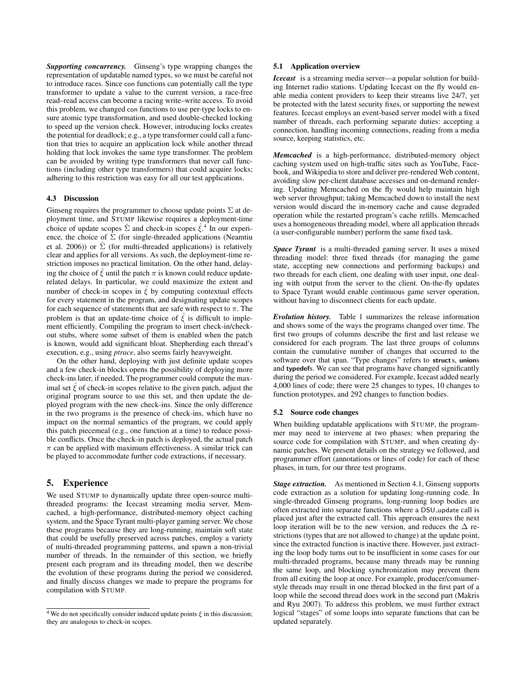*Supporting concurrency.* Ginseng's type wrapping changes the representation of updatable named types, so we must be careful not to introduce races. Since con functions can potentially call the type transformer to update a value to the current version, a race-free read–read access can become a racing write–write access. To avoid this problem, we changed con functions to use per-type locks to ensure atomic type transformation, and used double-checked locking to speed up the version check. However, introducing locks creates the potential for deadlock; e.g., a type transformer could call a function that tries to acquire an application lock while another thread holding that lock invokes the same type transformer. The problem can be avoided by writing type transformers that never call functions (including other type transformers) that could acquire locks; adhering to this restriction was easy for all our test applications.

## 4.3 Discussion

Ginseng requires the programmer to choose update points  $\Sigma$  at deployment time, and STUMP likewise requires a deployment-time choice of update scopes  $\hat{\Sigma}$  and check-in scopes  $\hat{\xi}^4$ . In our experience, the choice of  $\Sigma$  (for single-threaded applications (Neamtiu et al. 2006)) or  $\hat{\Sigma}$  (for multi-threaded applications) is relatively clear and applies for all versions. As such, the deployment-time restriction imposes no practical limitation. On the other hand, delaying the choice of  $\mathcal{\hat{E}}$  until the patch  $\pi$  is known could reduce updaterelated delays. In particular, we could maximize the extent and number of check-in scopes in  $\hat{\xi}$  by computing contextual effects for every statement in the program, and designating update scopes for each sequence of statements that are safe with respect to  $\pi$ . The problem is that an update-time choice of  $\hat{\xi}$  is difficult to implement efficiently. Compiling the program to insert check-in/checkout stubs, where some subset of them is enabled when the patch is known, would add significant bloat. Shepherding each thread's execution, e.g., using *ptrace*, also seems fairly heavyweight.

On the other hand, deploying with just definite update scopes and a few check-in blocks opens the possibility of deploying more check-ins later, if needed. The programmer could compute the maximal set  $\zeta$  of check-in scopes relative to the given patch, adjust the original program source to use this set, and then update the deployed program with the new check-ins. Since the only difference in the two programs is the presence of check-ins, which have no impact on the normal semantics of the program, we could apply this patch piecemeal (e.g., one function at a time) to reduce possible conflicts. Once the check-in patch is deployed, the actual patch  $\pi$  can be applied with maximum effectiveness. A similar trick can be played to accommodate further code extractions, if necessary.

# 5. Experience

We used STUMP to dynamically update three open-source multithreaded programs: the Icecast streaming media server, Memcached, a high-performance, distributed-memory object caching system, and the Space Tyrant multi-player gaming server. We chose these programs because they are long-running, maintain soft state that could be usefully preserved across patches, employ a variety of multi-threaded programming patterns, and spawn a non-trivial number of threads. In the remainder of this section, we briefly present each program and its threading model, then we describe the evolution of these programs during the period we considered, and finally discuss changes we made to prepare the programs for compilation with STUMP.

#### 5.1 Application overview

*Icecast* is a streaming media server—a popular solution for building Internet radio stations. Updating Icecast on the fly would enable media content providers to keep their streams live 24/7, yet be protected with the latest security fixes, or supporting the newest features. Icecast employs an event-based server model with a fixed number of threads, each performing separate duties: accepting a connection, handling incoming connections, reading from a media source, keeping statistics, etc.

*Memcached* is a high-performance, distributed-memory object caching system used on high-traffic sites such as YouTube, Facebook, and Wikipedia to store and deliver pre-rendered Web content, avoiding slow per-client database accesses and on-demand rendering. Updating Memcached on the fly would help maintain high web server throughput; taking Memcached down to install the next version would discard the in-memory cache and cause degraded operation while the restarted program's cache refills. Memcached uses a homogeneous threading model, where all application threads (a user-configurable number) perform the same fixed task.

*Space Tyrant* is a multi-threaded gaming server. It uses a mixed threading model: three fixed threads (for managing the game state, accepting new connections and performing backups) and two threads for each client, one dealing with user input, one dealing with output from the server to the client. On-the-fly updates to Space Tyrant would enable continuous game server operation, without having to disconnect clients for each update.

*Evolution history.* Table 1 summarizes the release information and shows some of the ways the programs changed over time. The first two groups of columns describe the first and last release we considered for each program. The last three groups of columns contain the cumulative number of changes that occurred to the software over that span. "Type changes" refers to structs, unions and typedefs. We can see that programs have changed significantly during the period we considered. For example, Icecast added nearly 4,000 lines of code; there were 25 changes to types, 10 changes to function prototypes, and 292 changes to function bodies.

#### 5.2 Source code changes

When building updatable applications with STUMP, the programmer may need to intervene at two phases: when preparing the source code for compilation with STUMP, and when creating dynamic patches. We present details on the strategy we followed, and programmer effort (annotations or lines of code) for each of these phases, in turn, for our three test programs.

*Stage extraction.* As mentioned in Section 4.1, Ginseng supports code extraction as a solution for updating long-running code. In single-threaded Ginseng programs, long-running loop bodies are often extracted into separate functions where a DSU update call is placed just after the extracted call. This approach ensures the next loop iteration will be to the new version, and reduces the  $\Delta$  restrictions (types that are not allowed to change) at the update point, since the extracted function is inactive there. However, just extracting the loop body turns out to be insufficient in some cases for our multi-threaded programs, because many threads may be running the same loop, and blocking synchronization may prevent them from all exiting the loop at once. For example, producer/consumerstyle threads may result in one thread blocked in the first part of a loop while the second thread does work in the second part (Makris and Ryu 2007). To address this problem, we must further extract logical "stages" of some loops into separate functions that can be updated separately.

<sup>&</sup>lt;sup>4</sup> We do not specifically consider induced update points  $\xi$  in this discussion; they are analogous to check-in scopes.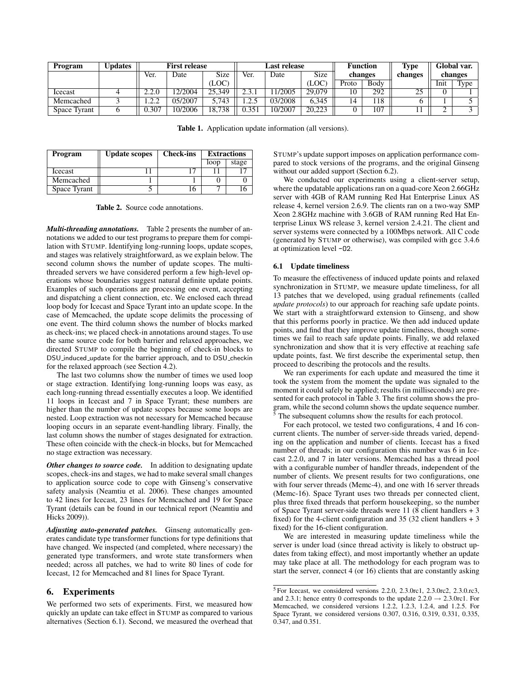| Program      | Updates | <b>First release</b> |         |        | Last release |         |        | Function |      | <b>Type</b> |         | Global var. |
|--------------|---------|----------------------|---------|--------|--------------|---------|--------|----------|------|-------------|---------|-------------|
|              |         | Ver.                 | Date    | Size   | Ver.         | Date    | Size   | changes  |      | changes     | changes |             |
|              |         |                      |         | (LOC)  |              |         | (LOC   | Proto    | Body |             | Init    | Type        |
| Icecast      |         | 2.2.0                | 2/2004  | 25.349 | n n<br>ا د ب | 1/2005  | 29,079 | 10       | 292  | つら<br>ل ک   |         |             |
| Memcached    |         | $\cap$<br>.          | 05/2007 | 5.743  | ن . د به     | 03/2008 | 6.345  |          | 18   |             |         |             |
| Space Tyrant |         | 0.307                | 10/2006 | 18.738 | 0.351        | 10/2007 | 20,223 |          | 107  |             |         |             |

Table 1. Application update information (all versions).

| Program        | <b>Update scopes</b> | <b>Check-ins</b> |      | <b>Extractions</b> |
|----------------|----------------------|------------------|------|--------------------|
|                |                      |                  | loop | stage              |
| <b>Icecast</b> |                      |                  |      |                    |
| Memcached      |                      |                  |      |                    |
| Space Tyrant   |                      |                  |      |                    |

Table 2. Source code annotations.

*Multi-threading annotations.* Table 2 presents the number of annotations we added to our test programs to prepare them for compilation with STUMP. Identifying long-running loops, update scopes, and stages was relatively straightforward, as we explain below. The second column shows the number of update scopes. The multithreaded servers we have considered perform a few high-level operations whose boundaries suggest natural definite update points. Examples of such operations are processing one event, accepting and dispatching a client connection, etc. We enclosed each thread loop body for Icecast and Space Tyrant into an update scope. In the case of Memcached, the update scope delimits the processing of one event. The third column shows the number of blocks marked as check-ins; we placed check-in annotations around stages. To use the same source code for both barrier and relaxed approaches, we directed STUMP to compile the beginning of check-in blocks to DSU induced update for the barrier approach, and to DSU checkin for the relaxed approach (see Section 4.2).

The last two columns show the number of times we used loop or stage extraction. Identifying long-running loops was easy, as each long-running thread essentially executes a loop. We identified 11 loops in Icecast and 7 in Space Tyrant; these numbers are higher than the number of update scopes because some loops are nested. Loop extraction was not necessary for Memcached because looping occurs in an separate event-handling library. Finally, the last column shows the number of stages designated for extraction. These often coincide with the check-in blocks, but for Memcached no stage extraction was necessary.

*Other changes to source code.* In addition to designating update scopes, check-ins and stages, we had to make several small changes to application source code to cope with Ginseng's conservative safety analysis (Neamtiu et al. 2006). These changes amounted to 42 lines for Icecast, 23 lines for Memcached and 19 for Space Tyrant (details can be found in our technical report (Neamtiu and Hicks 2009)).

*Adjusting auto-generated patches.* Ginseng automatically generates candidate type transformer functions for type definitions that have changed. We inspected (and completed, where necessary) the generated type transformers, and wrote state transformers when needed; across all patches, we had to write 80 lines of code for Icecast, 12 for Memcached and 81 lines for Space Tyrant.

## 6. Experiments

We performed two sets of experiments. First, we measured how quickly an update can take effect in STUMP as compared to various alternatives (Section 6.1). Second, we measured the overhead that STUMP's update support imposes on application performance compared to stock versions of the programs, and the original Ginseng without our added support (Section 6.2).

We conducted our experiments using a client-server setup, where the updatable applications ran on a quad-core Xeon 2.66GHz server with 4GB of RAM running Red Hat Enterprise Linux AS release 4, kernel version 2.6.9. The clients ran on a two-way SMP Xeon 2.8GHz machine with 3.6GB of RAM running Red Hat Enterprise Linux WS release 3, kernel version 2.4.21. The client and server systems were connected by a 100Mbps network. All C code (generated by STUMP or otherwise), was compiled with gcc 3.4.6 at optimization level -O2.

## 6.1 Update timeliness

To measure the effectiveness of induced update points and relaxed synchronization in STUMP, we measure update timeliness, for all 13 patches that we developed, using gradual refinements (called *update protocols*) to our approach for reaching safe update points. We start with a straightforward extension to Ginseng, and show that this performs poorly in practice. We then add induced update points, and find that they improve update timeliness, though sometimes we fail to reach safe update points. Finally, we add relaxed synchronization and show that it is very effective at reaching safe update points, fast. We first describe the experimental setup, then proceed to describing the protocols and the results.

We ran experiments for each update and measured the time it took the system from the moment the update was signaled to the moment it could safely be applied; results (in milliseconds) are presented for each protocol in Table 3. The first column shows the program, while the second column shows the update sequence number. The subsequent columns show the results for each protocol.

For each protocol, we tested two configurations, 4 and 16 concurrent clients. The number of server-side threads varied, depending on the application and number of clients. Icecast has a fixed number of threads; in our configuration this number was 6 in Icecast 2.2.0, and 7 in later versions. Memcached has a thread pool with a configurable number of handler threads, independent of the number of clients. We present results for two configurations, one with four server threads (Memc-4), and one with 16 server threads (Memc-16). Space Tyrant uses two threads per connected client, plus three fixed threads that perform housekeeping, so the number of Space Tyrant server-side threads were 11 (8 client handlers + 3 fixed) for the 4-client configuration and 35 (32 client handlers  $+3$ fixed) for the 16-client configuration.

We are interested in measuring update timeliness while the server is under load (since thread activity is likely to obstruct updates from taking effect), and most importantly whether an update may take place at all. The methodology for each program was to start the server, connect 4 (or 16) clients that are constantly asking

<sup>5</sup> For Icecast, we considered versions 2.2.0, 2.3.0rc1, 2.3.0rc2, 2.3.0.rc3, and 2.3.1; hence entry 0 corresponds to the update  $2.2.0 \rightarrow 2.3.0$ rc1. For Memcached, we considered versions 1.2.2, 1.2.3, 1.2.4, and 1.2.5. For Space Tyrant, we considered versions 0.307, 0.316, 0.319, 0.331, 0.335, 0.347, and 0.351.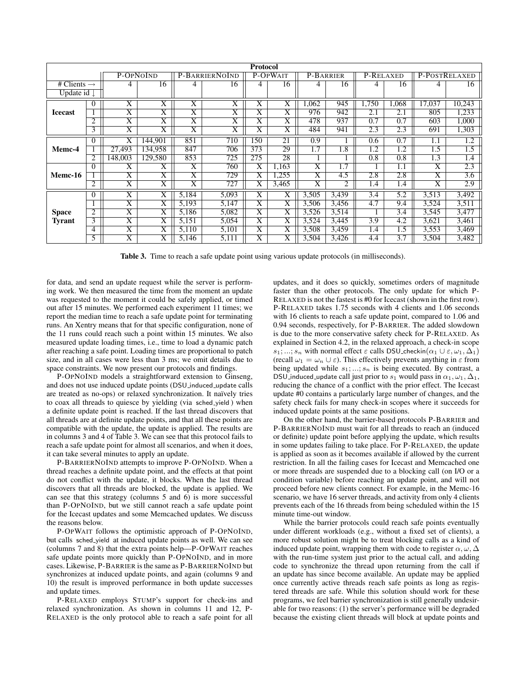| Protocol                |                |                         |                         |                       |                         |                         |                         |                       |                 |      |           |                       |                  |  |
|-------------------------|----------------|-------------------------|-------------------------|-----------------------|-------------------------|-------------------------|-------------------------|-----------------------|-----------------|------|-----------|-----------------------|------------------|--|
|                         |                |                         | P-OPNOIND               | P-BARRIERNOIND        |                         |                         | P-OPWAIT                |                       | P-BARRIER       |      | P-RELAXED |                       | P-POSTRELAXED    |  |
| # Clients $\rightarrow$ |                | 4                       | 16                      | 4                     | 16                      | 4                       | 16                      |                       | 16              |      | 16        | 4                     | 16               |  |
| Update $id$             |                |                         |                         |                       |                         |                         |                         |                       |                 |      |           |                       |                  |  |
|                         | $\Omega$       | $\overline{\text{X}}$   | $\overline{\text{X}}$   | $\overline{\text{X}}$ | X                       | $\overline{\text{X}}$   | X                       | .062                  | 945             | .750 | 1,068     | 17,037                | 10,243           |  |
| <b>Icecast</b>          |                | X                       | $\overline{\text{X}}$   | X                     | $\overline{\text{X}}$   | $\overline{\text{X}}$   | X                       | 976                   | 942             | 2.1  | 2.1       | 805                   | 1,233            |  |
|                         | $\overline{2}$ | $\overline{\text{X}}$   | $\overline{\text{X}}$   | $\overline{\text{X}}$ | $\overline{\text{X}}$   | $\overline{\text{X}}$   | $\overline{\text{X}}$   | 478                   | 937             | 0.7  | 0.7       | 603                   | 1,000            |  |
|                         | $\overline{3}$ | $\overline{\text{X}}$   | $\overline{\text{X}}$   | $\overline{\text{X}}$ | $\overline{\mathrm{X}}$ | $\overline{\text{X}}$   | $\overline{\text{X}}$   | 484                   | 941             | 2.3  | 2.3       | 691                   | 1,303            |  |
|                         | $\Omega$       | $\overline{X}$          | 144,901                 | 851                   | 710                     | 150                     | 21                      | 0.9                   |                 | 0.6  | 0.7       | 1.1                   | 1.2              |  |
| Memc-4                  |                | 27.493                  | 134.958                 | 847                   | 706                     | 373                     | 29                      | 1.7                   | 1.8             | 1.2  | 1.2       | 1.5                   | $1.\overline{5}$ |  |
|                         | 2              | 148,003                 | 129,580                 | 853                   | 725                     | 275                     | 28                      |                       |                 | 0.8  | 0.8       | 1.3                   | 1.4              |  |
|                         | $\Omega$       | X                       | X                       | X                     | 760                     | $\overline{X}$          | 1,163                   | X                     | $\overline{.7}$ |      | $1.1\,$   | X                     | 2.3              |  |
| Memc-16                 |                | $\overline{\text{X}}$   | $\overline{\mathrm{X}}$ | $\overline{\text{X}}$ | 729                     | $\overline{\mathrm{X}}$ | 1,255                   | $\overline{\text{X}}$ | 4.5             | 2.8  | 2.8       | $\overline{\text{X}}$ | 3.6              |  |
|                         | $\overline{2}$ | $\overline{\text{X}}$   | $\overline{\text{X}}$   | $\overline{\text{X}}$ | 727                     | $\overline{\text{X}}$   | 3,465                   | $\overline{\text{X}}$ | $\overline{2}$  | 1.4  | 1.4       | $\overline{\text{X}}$ | 2.9              |  |
|                         | $\Omega$       | $\overline{X}$          | $\overline{X}$          | 5,184                 | 5,093                   | X                       | $\overline{\mathsf{x}}$ | 3,505                 | 3,439           | 3.4  | 5.2       | 3,513                 | 3,492            |  |
|                         |                | $\overline{\mathrm{X}}$ | $\overline{\mathrm{X}}$ | 5,193                 | 5,147                   | $\overline{\mathrm{X}}$ | $\overline{\text{X}}$   | 3,506                 | 3,456           | 4.7  | 9.4       | 3,524                 | 3,511            |  |
| <b>Space</b>            | $\overline{2}$ | $\overline{\text{X}}$   | $\overline{\text{X}}$   | 5,186                 | 5,082                   | $\overline{\mathrm{X}}$ | $\overline{\text{X}}$   | 3,526                 | 3,514           |      | 3.4       | 3,545                 | 3,477            |  |
| <b>Tyrant</b>           | 3              | $\overline{\mathrm{X}}$ | $\overline{\text{X}}$   | 5,151                 | 5,054                   | $\overline{X}$          | $\overline{\text{X}}$   | 3,524                 | 3,445           | 3.9  | 4.2       | 3,621                 | 3,461            |  |
|                         | 4              | $\overline{\text{X}}$   | $\overline{\text{X}}$   | 5,110                 | 5,101                   | $\overline{\mathrm{X}}$ | $\overline{\text{X}}$   | 3,508                 | 3,459           | 1.4  | 1.5       | 3,553                 | 3,469            |  |
|                         | 5              | X                       | $\overline{\mathrm{X}}$ | 5,146                 | 5,111                   | $\overline{\mathrm{X}}$ | X                       | 3,504                 | 3,426           | 4.4  | 3.7       | 3,504                 | 3,482            |  |

Table 3. Time to reach a safe update point using various update protocols (in milliseconds).

for data, and send an update request while the server is performing work. We then measured the time from the moment an update was requested to the moment it could be safely applied, or timed out after 15 minutes. We performed each experiment 11 times; we report the median time to reach a safe update point for terminating runs. An Xentry means that for that specific configuration, none of the 11 runs could reach such a point within 15 minutes. We also measured update loading times, i.e., time to load a dynamic patch after reaching a safe point. Loading times are proportional to patch size, and in all cases were less than 3 ms; we omit details due to space constraints. We now present our protocols and findings.

P-OPNOIND models a straightforward extension to Ginseng, and does not use induced update points (DSU induced update calls are treated as no-ops) or relaxed synchronization. It naïvely tries to coax all threads to quiesce by yielding (via sched yield) when a definite update point is reached. If the last thread discovers that all threads are at definite update points, and that all these points are compatible with the update, the update is applied. The results are in columns 3 and 4 of Table 3. We can see that this protocol fails to reach a safe update point for almost all scenarios, and when it does, it can take several minutes to apply an update.

P-BARRIERNOIND attempts to improve P-OPNOIND. When a thread reaches a definite update point, and the effects at that point do not conflict with the update, it blocks. When the last thread discovers that all threads are blocked, the update is applied. We can see that this strategy (columns  $5$  and  $6$ ) is more successful than P-OPNOIND, but we still cannot reach a safe update point for the Icecast updates and some Memcached updates. We discuss the reasons below.

P-OPWAIT follows the optimistic approach of P-OPNOIND, but calls sched yield at induced update points as well. We can see (columns 7 and 8) that the extra points help—P-OPWAIT reaches safe update points more quickly than P-OPNOIND, and in more cases. Likewise, P-BARRIER is the same as P-BARRIERNOIND but synchronizes at induced update points, and again (columns 9 and 10) the result is improved performance in both update successes and update times.

P-RELAXED employs STUMP's support for check-ins and relaxed synchronization. As shown in columns 11 and 12, P-RELAXED is the only protocol able to reach a safe point for all

updates, and it does so quickly, sometimes orders of magnitude faster than the other protocols. The only update for which P-RELAXED is not the fastest is #0 for Icecast (shown in the first row). P-RELAXED takes 1.75 seconds with 4 clients and 1.06 seconds with 16 clients to reach a safe update point, compared to 1.06 and 0.94 seconds, respectively, for P-BARRIER. The added slowdown is due to the more conservative safety check for P-RELAXED. As explained in Section 4.2, in the relaxed approach, a check-in scope  $s_1; \ldots; s_n$  with normal effect  $\varepsilon$  calls DSU checkin $(\alpha_1 \cup \varepsilon, \omega_1, \Delta_1)$ (recall  $\omega_1 = \omega_n \cup \varepsilon$ ). This effectively prevents anything in  $\varepsilon$  from being updated while  $s_1; \ldots; s_n$  is being executed. By contrast, a DSU induced update call just prior to  $s_1$  would pass in  $\alpha_1, \omega_1, \Delta_1$ , reducing the chance of a conflict with the prior effect. The Icecast update #0 contains a particularly large number of changes, and the safety check fails for many check-in scopes where it succeeds for induced update points at the same positions.

On the other hand, the barrier-based protocols P-BARRIER and P-BARRIERNOIND must wait for all threads to reach an (induced or definite) update point before applying the update, which results in some updates failing to take place. For P-RELAXED, the update is applied as soon as it becomes available if allowed by the current restriction. In all the failing cases for Icecast and Memcached one or more threads are suspended due to a blocking call (on I/O or a condition variable) before reaching an update point, and will not proceed before new clients connect. For example, in the Memc-16 scenario, we have 16 server threads, and activity from only 4 clients prevents each of the 16 threads from being scheduled within the 15 minute time-out window.

While the barrier protocols could reach safe points eventually under different workloads (e.g., without a fixed set of clients), a more robust solution might be to treat blocking calls as a kind of induced update point, wrapping them with code to register  $\alpha, \omega, \Delta$ with the run-time system just prior to the actual call, and adding code to synchronize the thread upon returning from the call if an update has since become available. An update may be applied once currently active threads reach safe points as long as registered threads are safe. While this solution should work for these programs, we feel barrier synchronization is still generally undesirable for two reasons: (1) the server's performance will be degraded because the existing client threads will block at update points and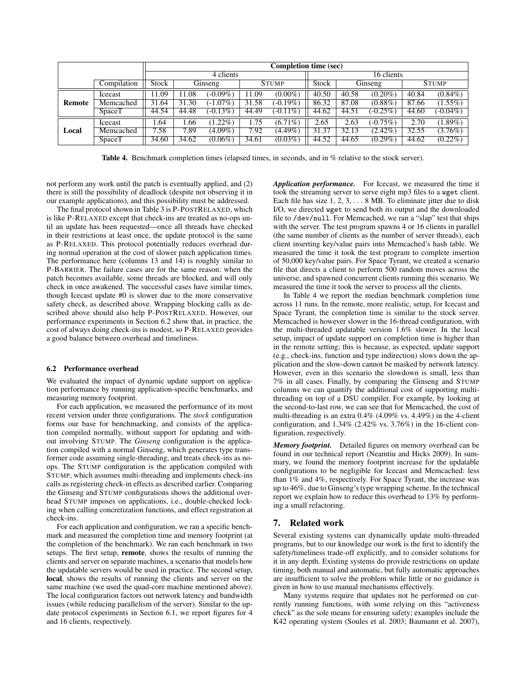|        |                | <b>Completion time (sec)</b> |                   |                             |       |              |              |            |             |              |             |  |  |
|--------|----------------|------------------------------|-------------------|-----------------------------|-------|--------------|--------------|------------|-------------|--------------|-------------|--|--|
|        |                | 4 clients                    |                   |                             |       |              |              | 16 clients |             |              |             |  |  |
|        | Compilation    | <b>Stock</b>                 |                   | $\overline{\text{Ginseng}}$ |       | <b>STUMP</b> | <b>Stock</b> |            | Ginseng     | <b>STUMP</b> |             |  |  |
| Remote | <b>Icecast</b> | 11.09                        | .08               | $(-0.09\%)$                 | 11.09 | $(0.00\%)$   | 40.50        | 40.58      | $(0.20\%)$  | 40.84        | $(0.84\%)$  |  |  |
|        | Memcached      | 31.64                        | 31.30             | $(-1.07\%)$                 | 31.58 | $(-0.19\%)$  | 86.32        | 87.08      | $(0.88\%)$  | 87.66        | $(1.55\%)$  |  |  |
|        | <b>SpaceT</b>  | 44.54                        | 44.48             | $(-0.13\%)$                 | 44.49 | $(-0.11\%)$  | 44.62        | 44.51      | $(-0.25\%)$ | 44.60        | $(-0.04\%)$ |  |  |
|        | <b>Icecast</b> | . .64                        | l.66              | $(1.22\%)$                  | 1.75  | $(6.71\%)$   | 2.65         | 2.63       | $(-0.75%)$  | 2.70         | $(1.89\%)$  |  |  |
| Local  | Memcached      | 1.58                         | $7.\overline{89}$ | $(4.09\%)$                  | 7.92  | $(4.49\%)$   | 31.37        | 32.13      | $(2.42\%)$  | 32.55        | $(3.76\%)$  |  |  |
|        | <b>SpaceT</b>  | $34.\overline{60}$           | 34.62             | $(0.06\%)$                  | 34.61 | $(0.03\%)$   | 44.52        | 44.65      | $(0.29\%)$  | 44.62        | $(0.22\%)$  |  |  |

Table 4. Benchmark completion times (elapsed times, in seconds, and in % relative to the stock server).

not perform any work until the patch is eventually applied, and (2) there is still the possibility of deadlock (despite not observing it in our example applications), and this possibility must be addressed.

The final protocol shown in Table 3 is P-POSTRELAXED, which is like P-RELAXED except that check-ins are treated as no-ops until an update has been requested—once all threads have checked in their restrictions at least once, the update protocol is the same as P-RELAXED. This protocol potentially reduces overhead during normal operation at the cost of slower patch application times. The performance here (columns 13 and 14) is roughly similar to P-BARRIER. The failure cases are for the same reason: when the patch becomes available, some threads are blocked, and will only check in once awakened. The successful cases have similar times, though Icecast update #0 is slower due to the more conservative safety check, as described above. Wrapping blocking calls as described above should also help P-POSTRELAXED. However, our performance experiments in Section 6.2 show that, in practice, the cost of always doing check-ins is modest, so P-RELAXED provides a good balance between overhead and timeliness.

#### 6.2 Performance overhead

We evaluated the impact of dynamic update support on application performance by running application-specific benchmarks, and measuring memory footprint.

For each application, we measured the performance of its most recent version under three configurations. The *stock* configuration forms our base for benchmarking, and consists of the application compiled normally, without support for updating and without involving STUMP. The *Ginseng* configuration is the application compiled with a normal Ginseng, which generates type transformer code assuming single-threading, and treats check-ins as noops. The STUMP configuration is the application compiled with STUMP, which assumes multi-threading and implements check-ins calls as registering check-in effects as described earlier. Comparing the Ginseng and STUMP configurations shows the additional overhead STUMP imposes on applications, i.e., double-checked locking when calling concretization functions, and effect registration at check-ins.

For each application and configuration, we ran a specific benchmark and measured the completion time and memory footprint (at the completion of the benchmark). We ran each benchmark in two setups. The first setup, remote, shows the results of running the clients and server on separate machines, a scenario that models how the updatable servers would be used in practice. The second setup, local, shows the results of running the clients and server on the same machine (we used the quad-core machine mentioned above). The local configuration factors out network latency and bandwidth issues (while reducing parallelism of the server). Similar to the update protocol experiments in Section 6.1, we report figures for 4 and 16 clients, respectively.

*Application performance.* For Icecast, we measured the time it took the streaming server to serve eight mp3 files to a wget client. Each file has size  $1, 2, 3, \ldots 8$  MB. To eliminate jitter due to disk I/O, we directed wget to send both its output and the downloaded file to /dev/null. For Memcached, we ran a "slap" test that ships with the server. The test program spawns 4 or 16 clients in parallel (the same number of clients as the number of server threads), each client inserting key/value pairs into Memcached's hash table. We measured the time it took the test program to complete insertion of 50,000 key/value pairs. For Space Tyrant, we created a scenario file that directs a client to perform 500 random moves across the universe, and spawned concurrent clients running this scenario. We measured the time it took the server to process all the clients.

In Table 4 we report the median benchmark completion time across 11 runs. In the remote, more realistic, setup, for Icecast and Space Tyrant, the completion time is similar to the stock server. Memcached is however slower in the 16-thread configuration, with the multi-threaded updatable version 1.6% slower. In the local setup, impact of update support on completion time is higher than in the remote setting; this is because, as expected, update support (e.g., check-ins, function and type indirection) slows down the application and the slow-down cannot be masked by network latency. However, even in this scenario the slowdown is small, less than 7% in all cases. Finally, by comparing the Ginseng and STUMP columns we can quantify the additional cost of supporting multithreading on top of a DSU compiler. For example, by looking at the second-to-last row, we can see that for Memcached, the cost of multi-threading is an extra 0.4% (4.09% vs. 4.49%) in the 4-client configuration, and  $1.34\%$  (2.42% vs. 3.76%) in the 16-client configuration, respectively.

*Memory footprint.* Detailed figures on memory overhead can be found in our technical report (Neamtiu and Hicks 2009). In summary, we found the memory footprint increase for the updatable configurations to be negligible for Icecast and Memcached: less than 1% and 4%, respectively. For Space Tyrant, the increase was up to 46%, due to Ginseng's type wrapping scheme. In the technical report we explain how to reduce this overhead to 13% by performing a small refactoring.

#### 7. Related work

Several existing systems can dynamically update multi-threaded programs, but to our knowledge our work is the first to identify the safety/timeliness trade-off explicitly, and to consider solutions for it in any depth. Existing systems do provide restrictions on update timing, both manual and automatic, but fully automatic approaches are insufficient to solve the problem while little or no guidance is given in how to use manual mechanisms effectively.

Many systems require that updates not be performed on currently running functions, with some relying on this "activeness check" as the sole means for ensuring safety; examples include the K42 operating system (Soules et al. 2003; Baumann et al. 2007),